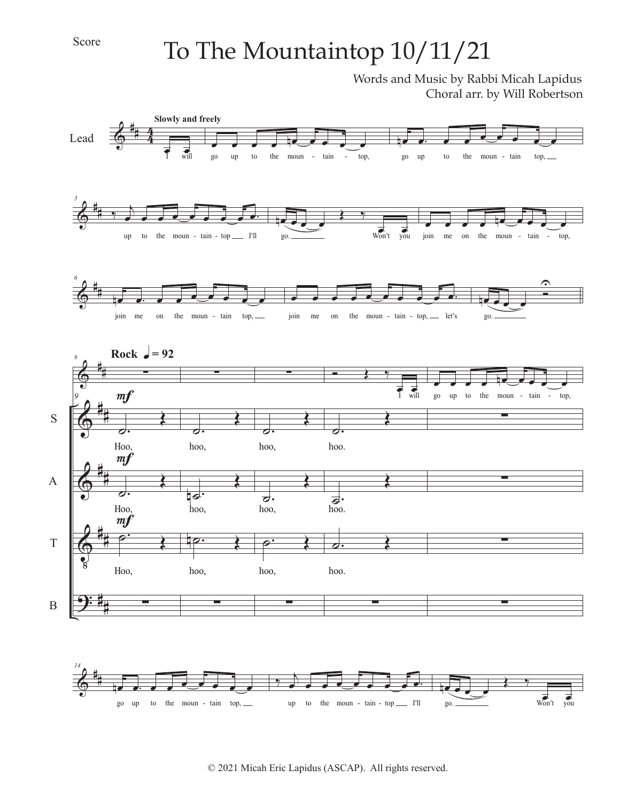## Score

## To The Mountaintop 10/11/21

Words and Music by Rabbi Micah Lapidus Choral arr. by Will Robertson

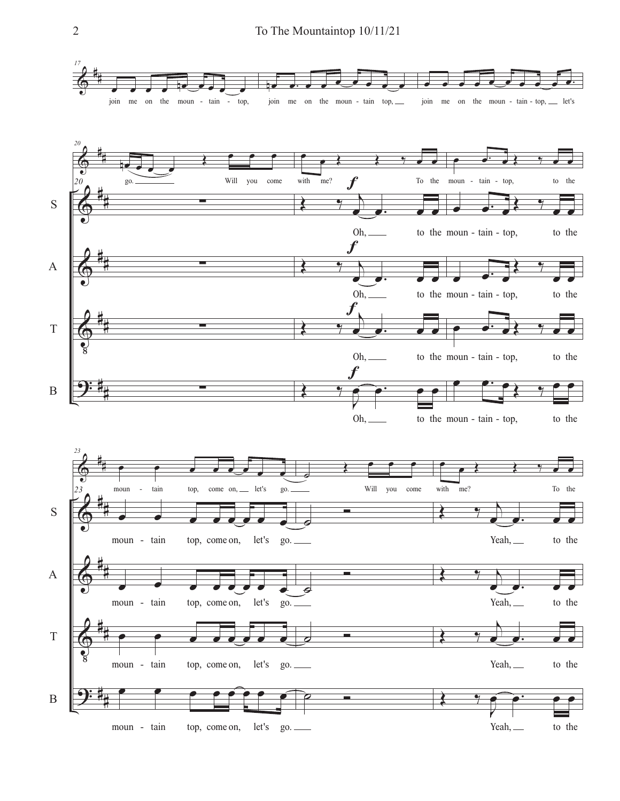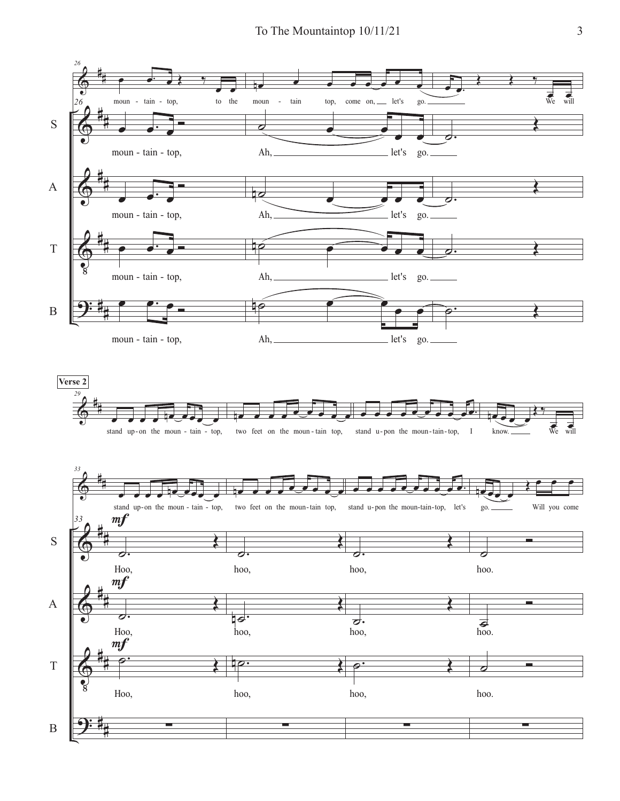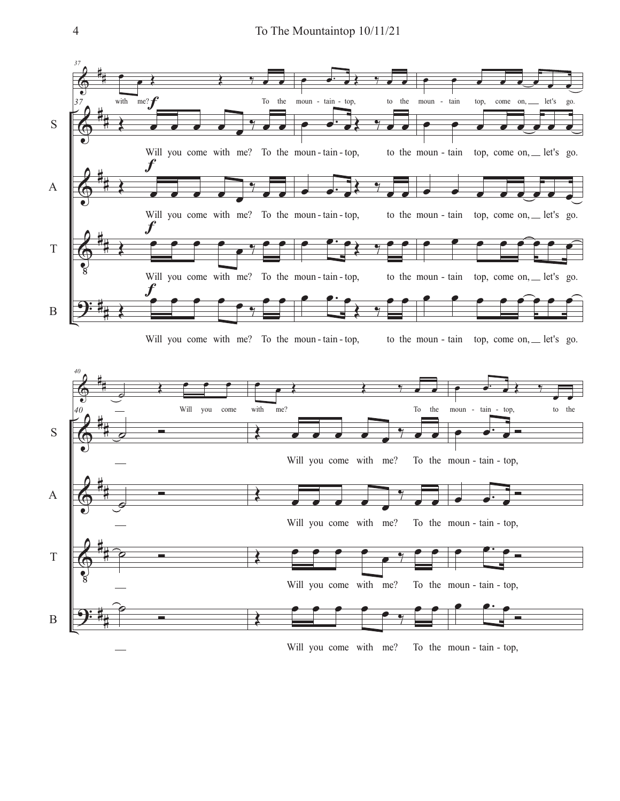

Will you come with me? moun - tain - top,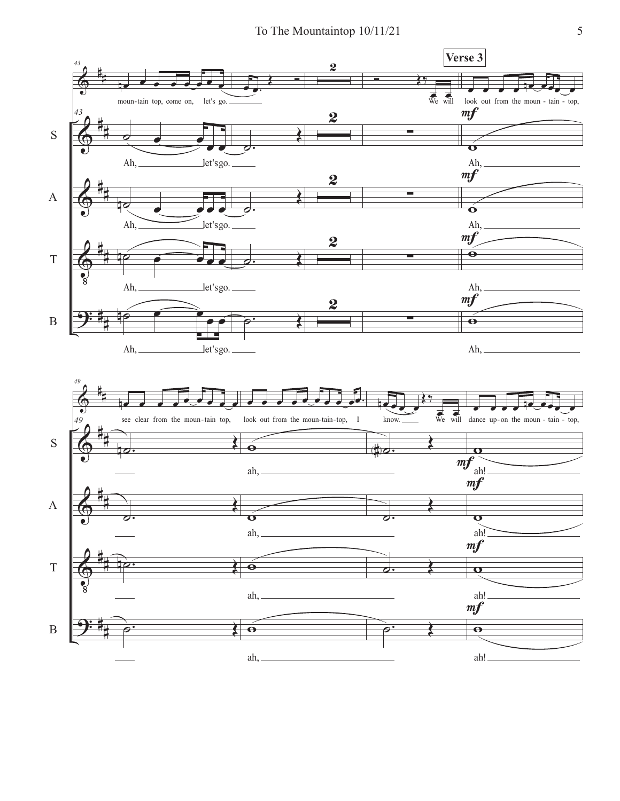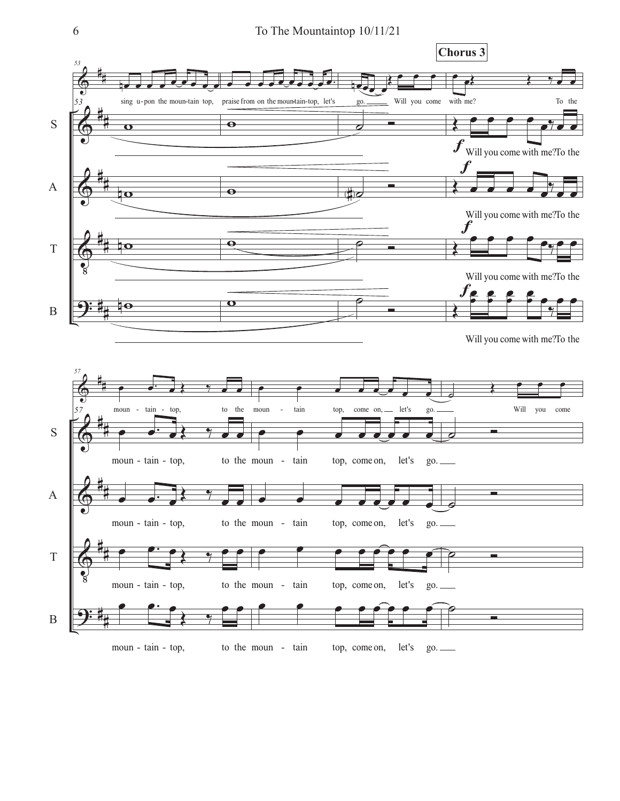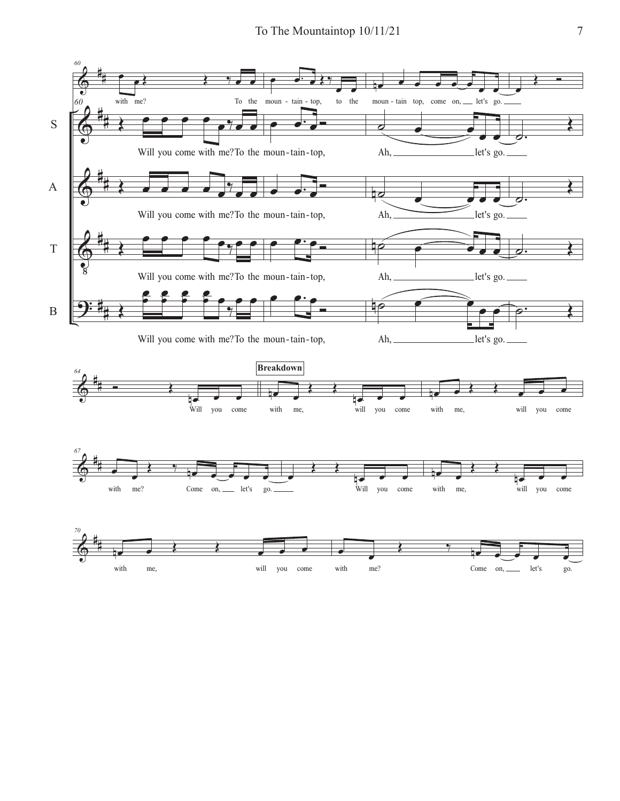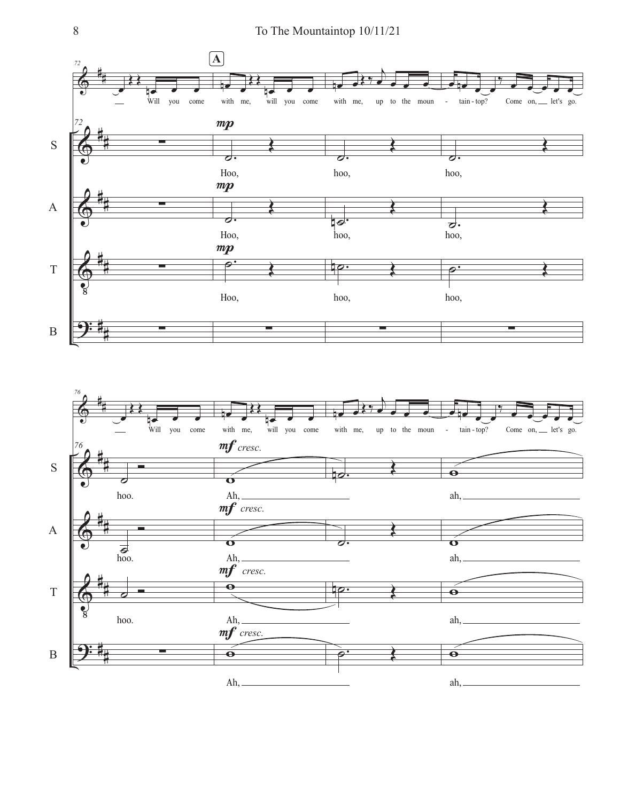![](_page_7_Figure_1.jpeg)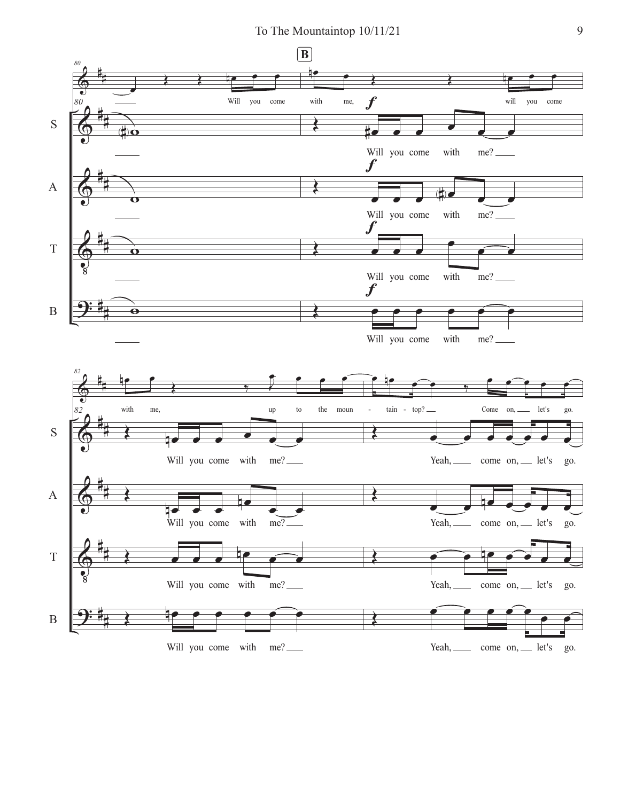To The Mountaintop  $10/11/21$  9

![](_page_8_Figure_1.jpeg)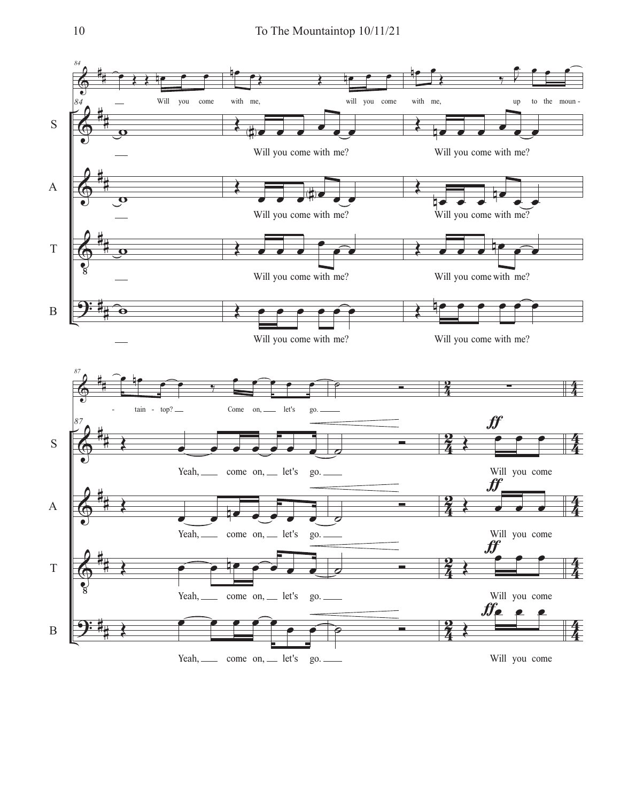![](_page_9_Figure_1.jpeg)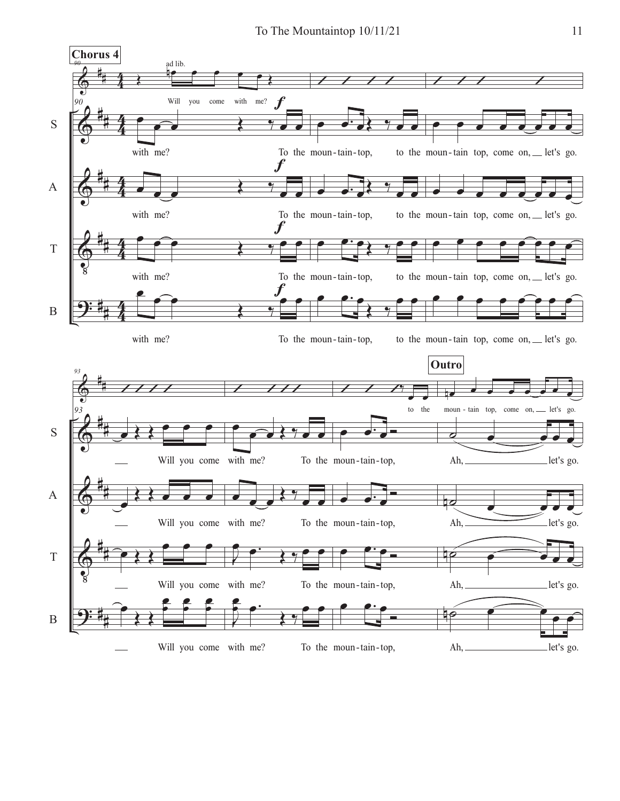![](_page_10_Figure_1.jpeg)